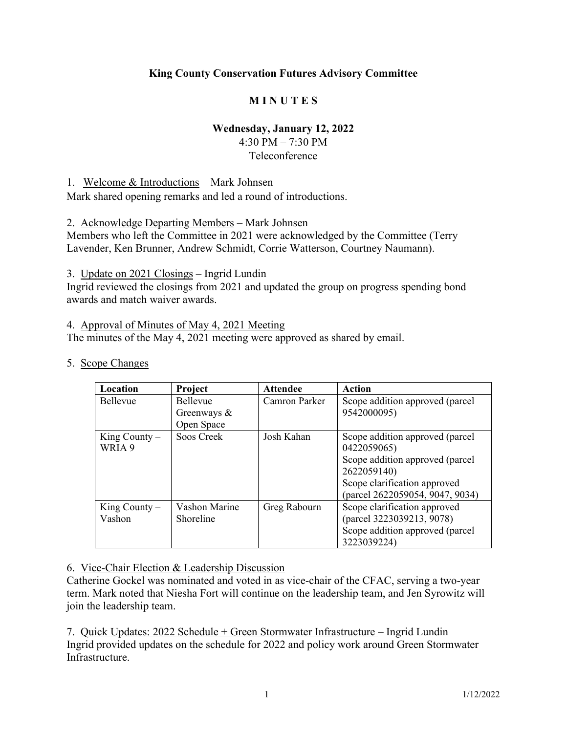## **King County Conservation Futures Advisory Committee**

## **M I N U T E S**

### **Wednesday, January 12, 2022**

4:30 PM – 7:30 PM Teleconference

1. Welcome & Introductions – Mark Johnsen

Mark shared opening remarks and led a round of introductions.

2. Acknowledge Departing Members – Mark Johnsen

Members who left the Committee in 2021 were acknowledged by the Committee (Terry Lavender, Ken Brunner, Andrew Schmidt, Corrie Watterson, Courtney Naumann).

3. Update on 2021 Closings – Ingrid Lundin

Ingrid reviewed the closings from 2021 and updated the group on progress spending bond awards and match waiver awards.

4. Approval of Minutes of May 4, 2021 Meeting

The minutes of the May 4, 2021 meeting were approved as shared by email.

#### 5. Scope Changes

| Location          | Project         | <b>Attendee</b> | Action                          |
|-------------------|-----------------|-----------------|---------------------------------|
| <b>Bellevue</b>   | <b>Bellevue</b> | Camron Parker   | Scope addition approved (parcel |
|                   | Greenways $\&$  |                 | 9542000095)                     |
|                   | Open Space      |                 |                                 |
| King County $-$   | Soos Creek      | Josh Kahan      | Scope addition approved (parcel |
| WRIA 9            |                 |                 | 0422059065)                     |
|                   |                 |                 | Scope addition approved (parcel |
|                   |                 |                 | 2622059140)                     |
|                   |                 |                 | Scope clarification approved    |
|                   |                 |                 | (parcel 2622059054, 9047, 9034) |
| $King$ County $-$ | Vashon Marine   | Greg Rabourn    | Scope clarification approved    |
| Vashon            | Shoreline       |                 | (parcel 3223039213, 9078)       |
|                   |                 |                 | Scope addition approved (parcel |
|                   |                 |                 | 3223039224)                     |

#### 6. Vice-Chair Election & Leadership Discussion

Catherine Gockel was nominated and voted in as vice-chair of the CFAC, serving a two-year term. Mark noted that Niesha Fort will continue on the leadership team, and Jen Syrowitz will join the leadership team.

7. Quick Updates: 2022 Schedule + Green Stormwater Infrastructure – Ingrid Lundin Ingrid provided updates on the schedule for 2022 and policy work around Green Stormwater Infrastructure.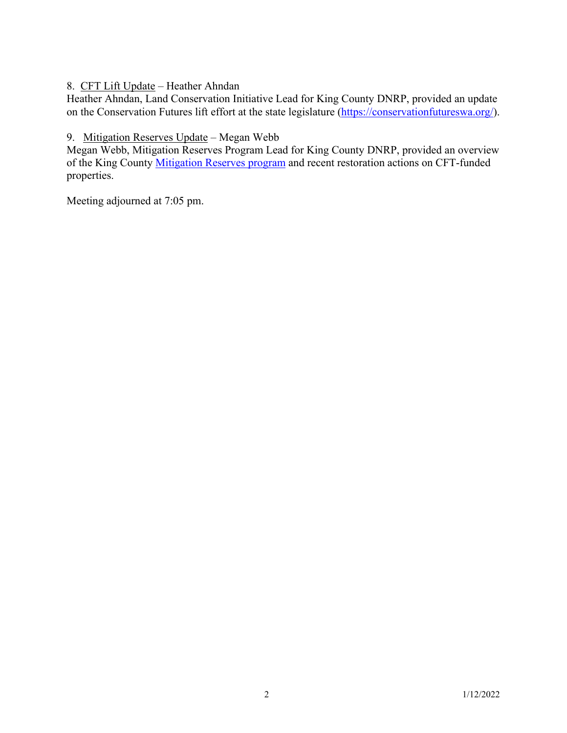8. CFT Lift Update – Heather Ahndan

Heather Ahndan, Land Conservation Initiative Lead for King County DNRP, provided an update on the Conservation Futures lift effort at the state legislature [\(https://conservationfutureswa.org/\)](https://conservationfutureswa.org/).

## 9. Mitigation Reserves Update – Megan Webb

Megan Webb, Mitigation Reserves Program Lead for King County DNRP, provided an overview of the King County [Mitigation Reserves program](https://kingcounty.gov/services/environment/water-and-land/wetlands/mitigation-credit-program.aspx) and recent restoration actions on CFT-funded properties.

Meeting adjourned at 7:05 pm.